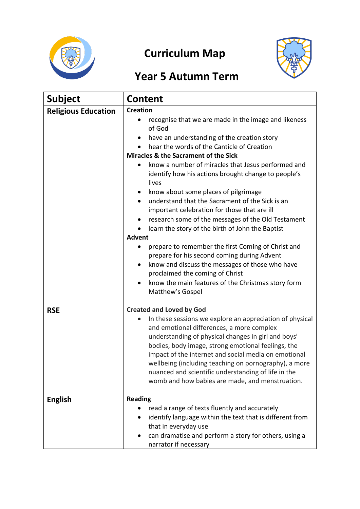

# **Curriculum Map**



# **Year 5 Autumn Term**

| <b>Subject</b>             | <b>Content</b>                                                                                                                                                                                                                                                                                                                                                                                                                                                                                                                                                                                                                                                                                                                                                                                                                                                                                        |  |
|----------------------------|-------------------------------------------------------------------------------------------------------------------------------------------------------------------------------------------------------------------------------------------------------------------------------------------------------------------------------------------------------------------------------------------------------------------------------------------------------------------------------------------------------------------------------------------------------------------------------------------------------------------------------------------------------------------------------------------------------------------------------------------------------------------------------------------------------------------------------------------------------------------------------------------------------|--|
| <b>Religious Education</b> | <b>Creation</b><br>recognise that we are made in the image and likeness<br>$\bullet$<br>of God<br>have an understanding of the creation story<br>hear the words of the Canticle of Creation<br>Miracles & the Sacrament of the Sick<br>know a number of miracles that Jesus performed and<br>$\bullet$<br>identify how his actions brought change to people's<br>lives<br>know about some places of pilgrimage<br>$\bullet$<br>understand that the Sacrament of the Sick is an<br>$\bullet$<br>important celebration for those that are ill<br>research some of the messages of the Old Testament<br>$\bullet$<br>learn the story of the birth of John the Baptist<br>٠<br><b>Advent</b><br>prepare to remember the first Coming of Christ and<br>$\bullet$<br>prepare for his second coming during Advent<br>know and discuss the messages of those who have<br>٠<br>proclaimed the coming of Christ |  |
|                            | know the main features of the Christmas story form<br>Matthew's Gospel                                                                                                                                                                                                                                                                                                                                                                                                                                                                                                                                                                                                                                                                                                                                                                                                                                |  |
| <b>RSE</b>                 | <b>Created and Loved by God</b><br>In these sessions we explore an appreciation of physical<br>$\bullet$<br>and emotional differences, a more complex<br>understanding of physical changes in girl and boys'<br>bodies, body image, strong emotional feelings, the<br>impact of the internet and social media on emotional<br>wellbeing (including teaching on pornography), a more<br>nuanced and scientific understanding of life in the<br>womb and how babies are made, and menstruation.                                                                                                                                                                                                                                                                                                                                                                                                         |  |
| <b>English</b>             | <b>Reading</b><br>read a range of texts fluently and accurately<br>identify language within the text that is different from<br>that in everyday use<br>can dramatise and perform a story for others, using a<br>narrator if necessary                                                                                                                                                                                                                                                                                                                                                                                                                                                                                                                                                                                                                                                                 |  |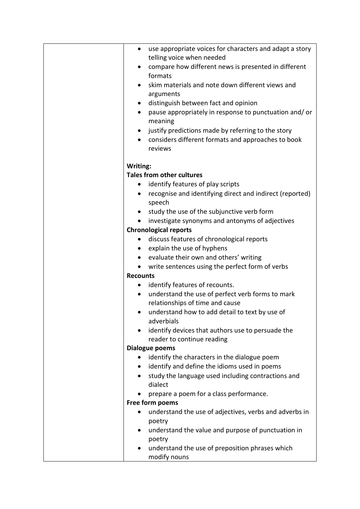| $\bullet$       | use appropriate voices for characters and adapt a story<br>telling voice when needed |
|-----------------|--------------------------------------------------------------------------------------|
| ٠               | compare how different news is presented in different                                 |
|                 | formats                                                                              |
|                 | skim materials and note down different views and                                     |
|                 | arguments                                                                            |
| $\bullet$       | distinguish between fact and opinion                                                 |
| $\bullet$       | pause appropriately in response to punctuation and/or                                |
|                 | meaning                                                                              |
| $\bullet$       | justify predictions made by referring to the story                                   |
|                 | considers different formats and approaches to book                                   |
|                 | reviews                                                                              |
| Writing:        |                                                                                      |
|                 | <b>Tales from other cultures</b>                                                     |
|                 | identify features of play scripts                                                    |
| ٠               | recognise and identifying direct and indirect (reported)                             |
|                 | speech                                                                               |
|                 | study the use of the subjunctive verb form                                           |
|                 | investigate synonyms and antonyms of adjectives                                      |
|                 | <b>Chronological reports</b>                                                         |
|                 | discuss features of chronological reports                                            |
| ٠               | explain the use of hyphens                                                           |
| ٠               | evaluate their own and others' writing                                               |
| $\bullet$       | write sentences using the perfect form of verbs                                      |
| <b>Recounts</b> |                                                                                      |
| ٠               | identify features of recounts.                                                       |
| $\bullet$       | understand the use of perfect verb forms to mark                                     |
|                 | relationships of time and cause                                                      |
|                 | understand how to add detail to text by use of                                       |
|                 | adverbials                                                                           |
|                 | identify devices that authors use to persuade the                                    |
|                 | reader to continue reading                                                           |
|                 | <b>Dialogue poems</b>                                                                |
| $\bullet$       | identify the characters in the dialogue poem                                         |
| $\bullet$       | identify and define the idioms used in poems                                         |
|                 | study the language used including contractions and                                   |
|                 | dialect                                                                              |
|                 | prepare a poem for a class performance.                                              |
|                 | Free form poems                                                                      |
|                 | understand the use of adjectives, verbs and adverbs in                               |
|                 | poetry                                                                               |
|                 | understand the value and purpose of punctuation in                                   |
|                 | poetry                                                                               |
|                 | understand the use of preposition phrases which                                      |
|                 | modify nouns                                                                         |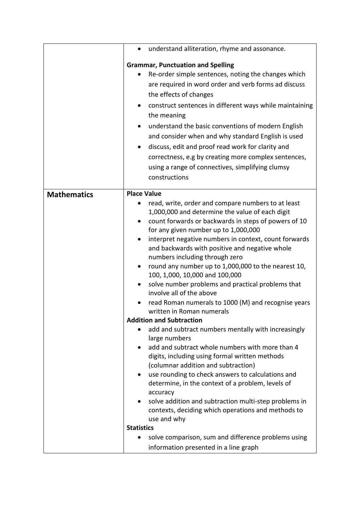|                    | understand alliteration, rhyme and assonance.<br>$\bullet$                                         |
|--------------------|----------------------------------------------------------------------------------------------------|
|                    | <b>Grammar, Punctuation and Spelling</b>                                                           |
|                    | Re-order simple sentences, noting the changes which                                                |
|                    | are required in word order and verb forms ad discuss                                               |
|                    | the effects of changes                                                                             |
|                    | construct sentences in different ways while maintaining                                            |
|                    | the meaning                                                                                        |
|                    | understand the basic conventions of modern English                                                 |
|                    | and consider when and why standard English is used                                                 |
|                    | discuss, edit and proof read work for clarity and                                                  |
|                    | correctness, e.g by creating more complex sentences,                                               |
|                    | using a range of connectives, simplifying clumsy                                                   |
|                    | constructions                                                                                      |
|                    | <b>Place Value</b>                                                                                 |
| <b>Mathematics</b> | read, write, order and compare numbers to at least                                                 |
|                    | 1,000,000 and determine the value of each digit                                                    |
|                    | count forwards or backwards in steps of powers of 10<br>$\bullet$                                  |
|                    | for any given number up to 1,000,000                                                               |
|                    | interpret negative numbers in context, count forwards<br>٠                                         |
|                    | and backwards with positive and negative whole                                                     |
|                    | numbers including through zero                                                                     |
|                    | round any number up to 1,000,000 to the nearest 10,<br>$\bullet$<br>100, 1,000, 10,000 and 100,000 |
|                    | solve number problems and practical problems that<br>involve all of the above                      |
|                    | read Roman numerals to 1000 (M) and recognise years                                                |
|                    | written in Roman numerals                                                                          |
|                    | <b>Addition and Subtraction</b>                                                                    |
|                    | add and subtract numbers mentally with increasingly                                                |
|                    | large numbers<br>add and subtract whole numbers with more than 4                                   |
|                    | digits, including using formal written methods                                                     |
|                    | (columnar addition and subtraction)                                                                |
|                    | use rounding to check answers to calculations and<br>٠                                             |
|                    | determine, in the context of a problem, levels of                                                  |
|                    | accuracy                                                                                           |
|                    | solve addition and subtraction multi-step problems in                                              |
|                    | contexts, deciding which operations and methods to                                                 |
|                    | use and why<br><b>Statistics</b>                                                                   |
|                    | solve comparison, sum and difference problems using                                                |
|                    | information presented in a line graph                                                              |
|                    |                                                                                                    |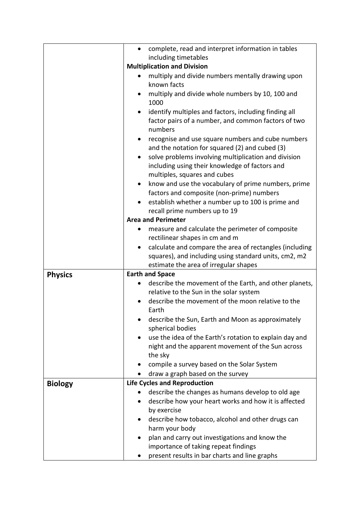|                | complete, read and interpret information in tables<br>$\bullet$                                                                                     |
|----------------|-----------------------------------------------------------------------------------------------------------------------------------------------------|
|                | including timetables                                                                                                                                |
|                | <b>Multiplication and Division</b>                                                                                                                  |
|                | multiply and divide numbers mentally drawing upon<br>known facts                                                                                    |
|                | multiply and divide whole numbers by 10, 100 and                                                                                                    |
|                | 1000                                                                                                                                                |
|                | identify multiples and factors, including finding all<br>factor pairs of a number, and common factors of two<br>numbers                             |
|                | recognise and use square numbers and cube numbers<br>٠<br>and the notation for squared (2) and cubed (3)                                            |
|                | solve problems involving multiplication and division<br>$\bullet$<br>including using their knowledge of factors and<br>multiples, squares and cubes |
|                | know and use the vocabulary of prime numbers, prime<br>factors and composite (non-prime) numbers                                                    |
|                | establish whether a number up to 100 is prime and                                                                                                   |
|                | recall prime numbers up to 19                                                                                                                       |
|                | <b>Area and Perimeter</b>                                                                                                                           |
|                | measure and calculate the perimeter of composite<br>$\bullet$                                                                                       |
|                | rectilinear shapes in cm and m                                                                                                                      |
|                | calculate and compare the area of rectangles (including<br>٠                                                                                        |
|                | squares), and including using standard units, cm2, m2                                                                                               |
|                | estimate the area of irregular shapes                                                                                                               |
| <b>Physics</b> | <b>Earth and Space</b>                                                                                                                              |
|                | describe the movement of the Earth, and other planets,                                                                                              |
|                | relative to the Sun in the solar system                                                                                                             |
|                | describe the movement of the moon relative to the<br>Earth                                                                                          |
|                | describe the Sun, Earth and Moon as approximately<br>spherical bodies                                                                               |
|                | use the idea of the Earth's rotation to explain day and                                                                                             |
|                | night and the apparent movement of the Sun across<br>the sky                                                                                        |
|                | compile a survey based on the Solar System                                                                                                          |
|                | draw a graph based on the survey                                                                                                                    |
| <b>Biology</b> | <b>Life Cycles and Reproduction</b>                                                                                                                 |
|                | describe the changes as humans develop to old age                                                                                                   |
|                | describe how your heart works and how it is affected                                                                                                |
|                | by exercise                                                                                                                                         |
|                | describe how tobacco, alcohol and other drugs can                                                                                                   |
|                | harm your body                                                                                                                                      |
|                | plan and carry out investigations and know the                                                                                                      |
|                |                                                                                                                                                     |
|                | importance of taking repeat findings                                                                                                                |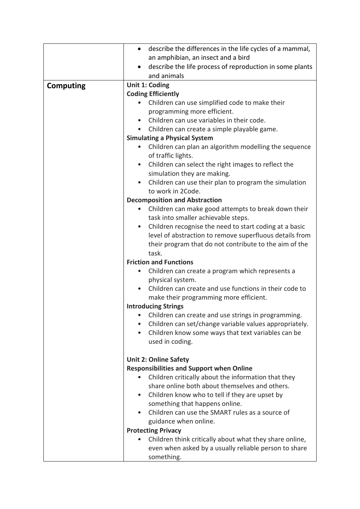|                  | describe the differences in the life cycles of a mammal,<br>$\bullet$ |  |
|------------------|-----------------------------------------------------------------------|--|
|                  | an amphibian, an insect and a bird                                    |  |
|                  | describe the life process of reproduction in some plants<br>$\bullet$ |  |
|                  | and animals                                                           |  |
| <b>Computing</b> | Unit 1: Coding                                                        |  |
|                  | <b>Coding Efficiently</b>                                             |  |
|                  | Children can use simplified code to make their                        |  |
|                  | programming more efficient.                                           |  |
|                  | Children can use variables in their code.                             |  |
|                  | Children can create a simple playable game.<br>$\bullet$              |  |
|                  | <b>Simulating a Physical System</b>                                   |  |
|                  | Children can plan an algorithm modelling the sequence                 |  |
|                  | of traffic lights.                                                    |  |
|                  | Children can select the right images to reflect the<br>$\bullet$      |  |
|                  | simulation they are making.                                           |  |
|                  | Children can use their plan to program the simulation<br>$\bullet$    |  |
|                  | to work in 2Code.                                                     |  |
|                  | <b>Decomposition and Abstraction</b>                                  |  |
|                  | Children can make good attempts to break down their<br>$\bullet$      |  |
|                  | task into smaller achievable steps.                                   |  |
|                  | Children recognise the need to start coding at a basic<br>$\bullet$   |  |
|                  | level of abstraction to remove superfluous details from               |  |
|                  | their program that do not contribute to the aim of the                |  |
|                  | task.                                                                 |  |
|                  | <b>Friction and Functions</b>                                         |  |
|                  | Children can create a program which represents a                      |  |
|                  | physical system.                                                      |  |
|                  | Children can create and use functions in their code to<br>$\bullet$   |  |
|                  | make their programming more efficient.                                |  |
|                  | <b>Introducing Strings</b>                                            |  |
|                  | Children can create and use strings in programming.                   |  |
|                  | Children can set/change variable values appropriately.                |  |
|                  | Children know some ways that text variables can be<br>$\bullet$       |  |
|                  | used in coding.                                                       |  |
|                  |                                                                       |  |
|                  | <b>Unit 2: Online Safety</b>                                          |  |
|                  | <b>Responsibilities and Support when Online</b>                       |  |
|                  | Children critically about the information that they                   |  |
|                  | share online both about themselves and others.                        |  |
|                  | Children know who to tell if they are upset by<br>$\bullet$           |  |
|                  | something that happens online.                                        |  |
|                  | Children can use the SMART rules as a source of<br>$\bullet$          |  |
|                  | guidance when online.                                                 |  |
|                  | <b>Protecting Privacy</b>                                             |  |
|                  | Children think critically about what they share online,               |  |
|                  | even when asked by a usually reliable person to share                 |  |
|                  | something.                                                            |  |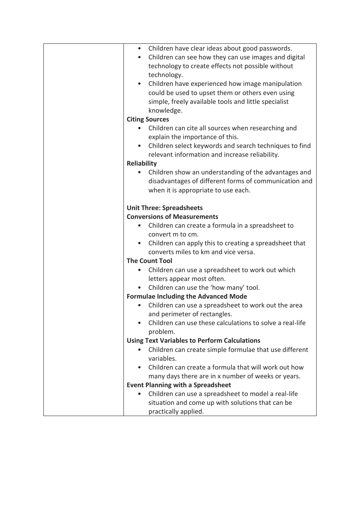| Children have clear ideas about good passwords.                   |
|-------------------------------------------------------------------|
| Children can see how they can use images and digital<br>$\bullet$ |
| technology to create effects not possible without                 |
| technology.                                                       |
| Children have experienced how image manipulation                  |
| could be used to upset them or others even using                  |
| simple, freely available tools and little specialist              |
| knowledge.                                                        |
| <b>Citing Sources</b>                                             |
| Children can cite all sources when researching and                |
| explain the importance of this.                                   |
| Children select keywords and search techniques to find            |
| relevant information and increase reliability.                    |
| <b>Reliability</b>                                                |
| Children show an understanding of the advantages and              |
| disadvantages of different forms of communication and             |
| when it is appropriate to use each.                               |
|                                                                   |
| <b>Unit Three: Spreadsheets</b>                                   |
| <b>Conversions of Measurements</b>                                |
| Children can create a formula in a spreadsheet to                 |
| convert m to cm.                                                  |
| Children can apply this to creating a spreadsheet that            |
| converts miles to km and vice versa.                              |
| <b>The Count Tool</b>                                             |
| Children can use a spreadsheet to work out which                  |
| letters appear most often.                                        |
| Children can use the 'how many' tool.                             |
| <b>Formulae Including the Advanced Mode</b>                       |
| Children can use a spreadsheet to work out the area               |
| and perimeter of rectangles.                                      |
| Children can use these calculations to solve a real-life          |
| problem.                                                          |
| <b>Using Text Variables to Perform Calculations</b>               |
| Children can create simple formulae that use different            |
| variables.                                                        |
| Children can create a formula that will work out how              |
| many days there are in x number of weeks or years.                |
| <b>Event Planning with a Spreadsheet</b>                          |
| Children can use a spreadsheet to model a real-life               |
| situation and come up with solutions that can be                  |
| practically applied.                                              |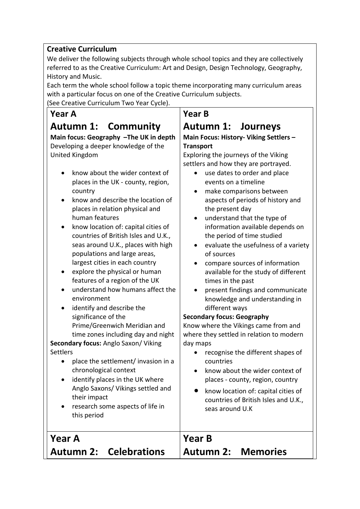### **Creative Curriculum**

We deliver the following subjects through whole school topics and they are collectively referred to as the Creative Curriculum: Art and Design, Design Technology, Geography, History and Music.

Each term the whole school follow a topic theme incorporating many curriculum areas with a particular focus on one of the Creative Curriculum subjects. (See Creative Curriculum Two Year Cycle).

## **Year A**

## **Autumn 1: Community**

#### **Main focus: Geography –The UK in depth** Developing a deeper knowledge of the United Kingdom

- know about the wider context of places in the UK - county, region, country
- know and describe the location of places in relation physical and human features
- know location of: capital cities of countries of British Isles and U.K., seas around U.K., places with high populations and large areas, largest cities in each country
- explore the physical or human features of a region of the UK
- understand how humans affect the environment
- identify and describe the significance of the Prime/Greenwich Meridian and time zones including day and night

**Secondary focus:** Anglo Saxon/ Viking **Settlers** 

- place the settlement/ invasion in a chronological context
- identify places in the UK where Anglo Saxons/ Vikings settled and their impact
- research some aspects of life in this period

### **Year B**

## **Autumn 1: Journeys**

#### **Main Focus: History- Viking Settlers – Transport**

Exploring the journeys of the Viking settlers and how they are portrayed.

- use dates to order and place events on a timeline
- make comparisons between aspects of periods of history and the present day
- understand that the type of information available depends on the period of time studied
- evaluate the usefulness of a variety of sources
- compare sources of information available for the study of different times in the past
- present findings and communicate knowledge and understanding in different ways

#### **Secondary focus: Geography**

Know where the Vikings came from and where they settled in relation to modern day maps

- recognise the different shapes of countries
- know about the wider context of places - county, region, country
- know location of: capital cities of countries of British Isles and U.K., seas around U.K

| l Year A |                               | $\vert$ Year B     |  |
|----------|-------------------------------|--------------------|--|
|          | <b>Autumn 2: Celebrations</b> | Autumn 2: Memories |  |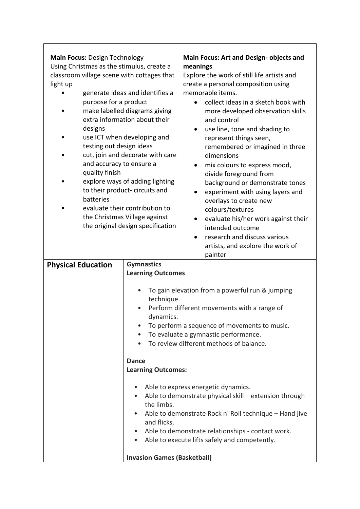| <b>Main Focus: Design Technology</b><br>Using Christmas as the stimulus, create a |                                    | Main Focus: Art and Design- objects and<br>meanings    |
|-----------------------------------------------------------------------------------|------------------------------------|--------------------------------------------------------|
| classroom village scene with cottages that                                        |                                    | Explore the work of still life artists and             |
| light up                                                                          |                                    | create a personal composition using                    |
|                                                                                   | generate ideas and identifies a    | memorable items.                                       |
| purpose for a product                                                             |                                    | collect ideas in a sketch book with<br>$\bullet$       |
|                                                                                   | make labelled diagrams giving      | more developed observation skills                      |
|                                                                                   | extra information about their      | and control                                            |
| designs                                                                           |                                    | use line, tone and shading to                          |
|                                                                                   | use ICT when developing and        | represent things seen,                                 |
| testing out design ideas                                                          |                                    | remembered or imagined in three                        |
|                                                                                   | cut, join and decorate with care   | dimensions                                             |
| and accuracy to ensure a                                                          |                                    | mix colours to express mood,<br>$\bullet$              |
| quality finish                                                                    |                                    | divide foreground from                                 |
|                                                                                   | explore ways of adding lighting    | background or demonstrate tones                        |
|                                                                                   | to their product-circuits and      | experiment with using layers and<br>٠                  |
| batteries                                                                         |                                    | overlays to create new                                 |
|                                                                                   | evaluate their contribution to     | colours/textures                                       |
|                                                                                   | the Christmas Village against      | evaluate his/her work against their                    |
|                                                                                   | the original design specification  | intended outcome                                       |
|                                                                                   |                                    | research and discuss various<br>$\bullet$              |
|                                                                                   |                                    | artists, and explore the work of                       |
|                                                                                   |                                    | painter                                                |
|                                                                                   | <b>Gymnastics</b>                  |                                                        |
| <b>Physical Education</b>                                                         | <b>Learning Outcomes</b>           |                                                        |
|                                                                                   |                                    |                                                        |
|                                                                                   |                                    | To gain elevation from a powerful run & jumping        |
|                                                                                   | technique.                         |                                                        |
|                                                                                   |                                    | Perform different movements with a range of            |
|                                                                                   | dynamics.                          |                                                        |
|                                                                                   |                                    | To perform a sequence of movements to music.           |
|                                                                                   | $\bullet$                          | To evaluate a gymnastic performance.                   |
|                                                                                   |                                    | To review different methods of balance.                |
|                                                                                   |                                    |                                                        |
|                                                                                   | <b>Dance</b>                       |                                                        |
|                                                                                   | <b>Learning Outcomes:</b>          |                                                        |
|                                                                                   |                                    | Able to express energetic dynamics.                    |
|                                                                                   |                                    | Able to demonstrate physical skill - extension through |
|                                                                                   | the limbs.                         |                                                        |
|                                                                                   |                                    | Able to demonstrate Rock n' Roll technique - Hand jive |
|                                                                                   | and flicks.                        |                                                        |
|                                                                                   |                                    | Able to demonstrate relationships - contact work.      |
|                                                                                   | $\bullet$                          | Able to execute lifts safely and competently.          |
|                                                                                   |                                    |                                                        |
|                                                                                   | <b>Invasion Games (Basketball)</b> |                                                        |